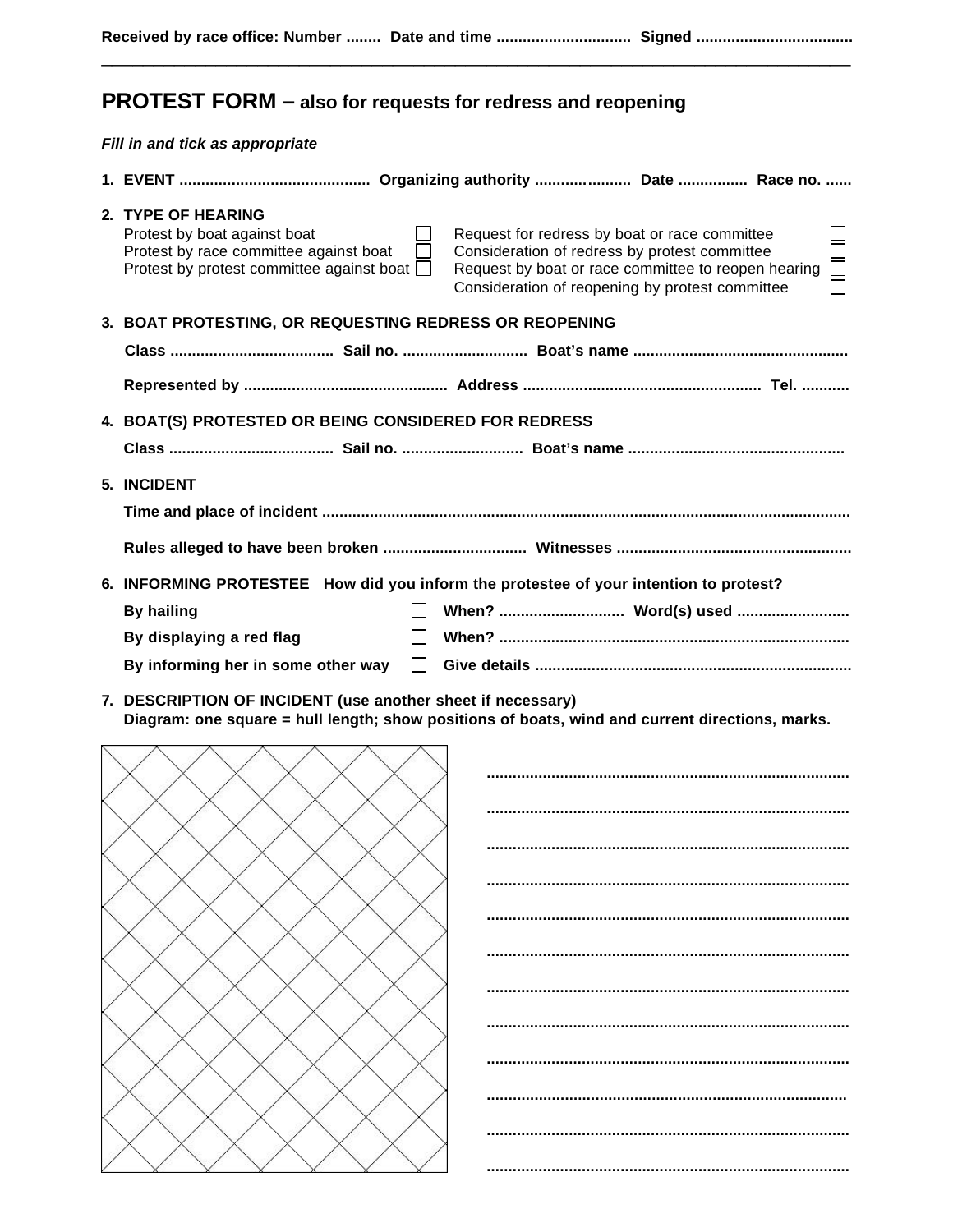\_\_\_\_\_\_\_\_\_\_\_\_\_\_\_\_\_\_\_\_\_\_\_\_\_\_\_\_\_\_\_\_\_\_\_\_\_\_\_\_\_\_\_\_\_\_\_\_\_\_\_\_\_\_\_\_\_\_\_\_\_\_\_\_\_\_\_\_\_\_\_\_

## **PROTEST FORM – also for requests for redress and reopening**

*Fill in and tick as appropriate*

| 2. TYPE OF HEARING<br>Protest by boat against boat<br>Protest by race committee against boat<br>Protest by protest committee against boat $\Box$ | Request for redress by boat or race committee<br>Consideration of redress by protest committee<br>Request by boat or race committee to reopen hearing<br>Consideration of reopening by protest committee |  |  |
|--------------------------------------------------------------------------------------------------------------------------------------------------|----------------------------------------------------------------------------------------------------------------------------------------------------------------------------------------------------------|--|--|
| 3. BOAT PROTESTING, OR REQUESTING REDRESS OR REOPENING                                                                                           |                                                                                                                                                                                                          |  |  |
|                                                                                                                                                  |                                                                                                                                                                                                          |  |  |
|                                                                                                                                                  |                                                                                                                                                                                                          |  |  |
| 4. BOAT(S) PROTESTED OR BEING CONSIDERED FOR REDRESS                                                                                             |                                                                                                                                                                                                          |  |  |
| 5. INCIDENT                                                                                                                                      |                                                                                                                                                                                                          |  |  |
|                                                                                                                                                  |                                                                                                                                                                                                          |  |  |
|                                                                                                                                                  | 6. INFORMING PROTESTEE How did you inform the protestee of your intention to protest?                                                                                                                    |  |  |
| <b>By hailing</b>                                                                                                                                |                                                                                                                                                                                                          |  |  |
| By displaying a red flag                                                                                                                         |                                                                                                                                                                                                          |  |  |
| By informing her in some other way                                                                                                               |                                                                                                                                                                                                          |  |  |
|                                                                                                                                                  |                                                                                                                                                                                                          |  |  |

**7. DESCRIPTION OF INCIDENT (use another sheet if necessary) Diagram: one square = hull length; show positions of boats, wind and current directions, marks.**